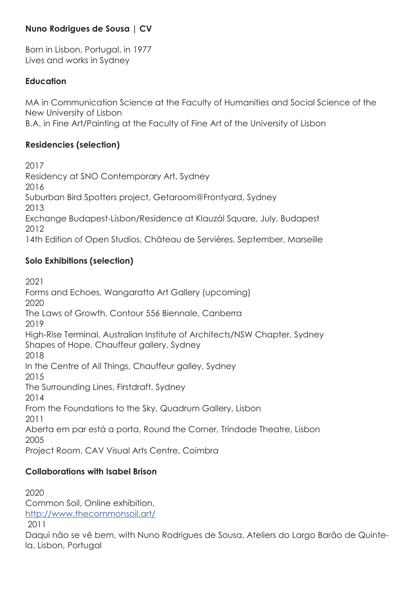#### **Nuno Rodrigues de Sousa | CV**

Born in Lisbon, Portugal, in 1977 Lives and works in Sydney

#### **Education**

MA in Communication Science at the Faculty of Humanities and Social Science of the New University of Lisbon B.A. in Fine Art/Painting at the Faculty of Fine Art of the University of Lisbon

### **Residencies (selection)**

2017 Residency at SNO Contemporary Art, Sydney 2016 Suburban Bird Spotters project, Getaroom@Frontyard, Sydney 2013 Exchange Budapest-Lisbon/Residence at Klauzál Square, July, Budapest 2012 14th Edition of Open Studios, Château de Servières, September, Marseille

## **Solo Exhibitions (selection)**

2021 Forms and Echoes, Wangaratta Art Gallery (upcoming) 2020 The Laws of Growth, Contour 556 Biennale, Canberra 2019 High-Rise Terminal, Australian Institute of Architects/NSW Chapter, Sydney Shapes of Hope, Chauffeur gallery, Sydney 2018 In the Centre of All Things, Chauffeur galley, Sydney 2015 The Surrounding Lines, Firstdraft, Sydney 2014 From the Foundations to the Sky, Quadrum Gallery, Lisbon 2011 Aberta em par está a porta, Round the Corner, Trindade Theatre, Lisbon 2005 Project Room, CAV Visual Arts Centre, Coimbra

## **Collaborations with Isabel Brison**

2020 Common Soil, Online exhibition, http://www.thecommonsoil.art/ 2011 Daqui não se vê bem, with Nuno Rodrigues de Sousa, Ateliers do Largo Barão de Quinte-

la, Lisbon, Portugal